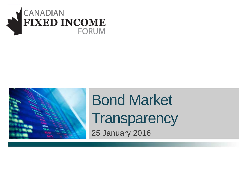



# Bond Market **Transparency**

25 January 2016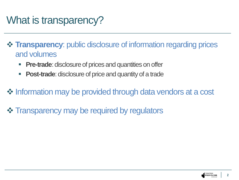## What is transparency?

 **Transparency**: public disclosure of information regarding prices and volumes

- **Pre-trade**: disclosure of prices and quantities on offer
- **Post-trade**: disclosure of price and quantity of a trade
- $\triangle$  **Information may be provided through data vendors at a cost**
- $\triangle$  **Transparency may be required by regulators**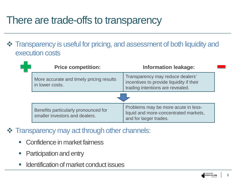#### There are trade-offs to transparency

 $\cdot \cdot \cdot$  **Transparency is useful for pricing, and assessment of both liquidity and** execution costs

| <b>Price competition:</b>                                              | <b>Information leakage:</b>                                                                                      |  |  |
|------------------------------------------------------------------------|------------------------------------------------------------------------------------------------------------------|--|--|
| More accurate and timely pricing results<br>in lower costs.            | Transparency may reduce dealers'<br>incentives to provide liquidity if their<br>trading intentions are revealed. |  |  |
|                                                                        |                                                                                                                  |  |  |
| Benefits particularly pronounced for<br>smaller investors and dealers. | Problems may be more acute in less-<br>liquid and more-concentrated markets,<br>and for larger trades.           |  |  |

- $\div$  **Transparency may act through other channels:** 
	- **EXECONFERGIOR CONFIDENCE** fairness
	- **Participation and entry**
	- Identification of market conduct issues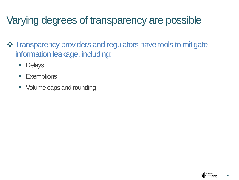## Varying degrees of transparency are possible

- **❖ Transparency providers and regulators have tools to mitigate** information leakage, including:
	- **Delays**
	- **Exemptions**
	- Volume caps and rounding

**4**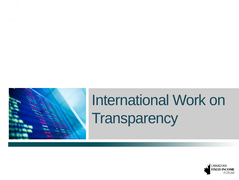



# International Work on **Transparency**

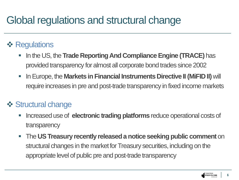### Global regulations and structural change

#### **❖ Regulations**

- In the US, the **Trade Reporting And Compliance Engine (TRACE)** has provided transparency for almost all corporate bond trades since 2002
- **ID Europe, the Markets in Financial Instruments Directive II (MiFID II) will** require increases in pre and post-trade transparency in fixed income markets

#### **❖ Structural change**

- Increased use of **electronic trading platforms** reduce operational costs of transparency
- The **US Treasury recently released a notice seeking public comment** on structural changes in the market for Treasury securities, including on the appropriate level of public pre and post-trade transparency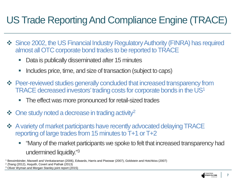#### US Trade Reporting And Compliance Engine (TRACE)

- Since 2002, the US Financial Industry Regulatory Authority (FINRA) has required almost all OTC corporate bond trades to be reported to TRACE
	- Data is publically disseminated after 15 minutes
	- Includes price, time, and size of transaction (subject to caps)
- **→ Peer-reviewed studies generally concluded that increased transparency from** TRACE decreased investors' trading costs for corporate bonds in the US1
	- The effect was more pronounced for retail-sized trades
- $\clubsuit$  One study noted a decrease in trading activity<sup>2</sup>
- $\triangle$  **A variety of market participants have recently advocated delaying TRACE** reporting of large trades from 15 minutes to T+1 or T+2
	- "Many of the market participants we spoke to felt that increased transparency had undermined liquidity."3

<sup>1</sup> Bessimbinder, Maxwell and Venkataraman (2006), Edwards, Harris and Piwowar (2007), Goldstein and Hotchkiss (2007)

<sup>2</sup> Zhang (2012), Asquith, Covert and Pathak (2013)

<sup>3</sup> Oliver Wyman and Morgan Stanley joint report (2015)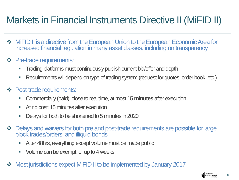#### Markets in Financial Instruments Directive II (MiFID II)

- $\triangle$  **MiFID II is a directive from the European Union to the European Economic Area for** increased financial regulation in many asset classes, including on transparency
- **❖** Pre-trade requirements:
	- Trading platforms must continuously publish current bid/offer and depth
	- Requirements will depend on type of trading system (request for quotes, order book, etc.)
- **❖** Post-trade requirements:
	- Commercially (paid): close to real time, at most **15 minutes** after execution
	- At no cost: 15 minutes after execution
	- Delays for both to be shortened to 5 minutes in 2020
- Delays and waivers for both pre and post-trade requirements are possible for large block trades/orders, and illiquid bonds
	- After 48hrs, everything except volume must be made public
	- Volume can be exempt for up to 4 weeks
- Most jurisdictions expect MiFID II to be implemented by January 2017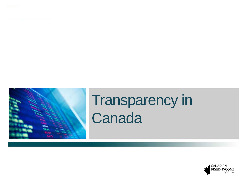

Transparency in **Canada** 

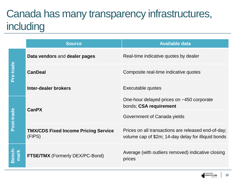# Canada has many transparency infrastructures, including

|               | <b>Source</b>                                         | <b>Available data</b>                                                                                      |
|---------------|-------------------------------------------------------|------------------------------------------------------------------------------------------------------------|
| Pre-trade     | Data vendors and dealer pages                         | Real-time indicative quotes by dealer                                                                      |
|               | <b>CanDeal</b>                                        | Composite real-time indicative quotes                                                                      |
|               | <b>Inter-dealer brokers</b>                           | Executable quotes                                                                                          |
| Post-trade    | <b>CanPX</b>                                          | One-hour delayed prices on ~450 corporate<br>bonds; CSA requirement                                        |
|               |                                                       | Government of Canada yields                                                                                |
|               | <b>TMX/CDS Fixed Income Pricing Service</b><br>(FIPS) | Prices on all transactions are released end-of-day;<br>volume cap of \$2m; 14-day delay for illiquid bonds |
| ench-<br>nark | <b>FTSE/TMX</b> (Formerly DEX/PC-Bond)                | Average (with outliers removed) indicative closing<br>prices                                               |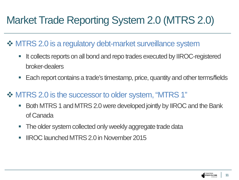# Market Trade Reporting System 2.0 (MTRS 2.0)

#### **❖ MTRS 2.0 is a regulatory debt-market surveillance system**

- It collects reports on all bond and repo trades executed by IIROC-registered broker-dealers
- Each report contains a trade's timestamp, price, quantity and other terms/fields

#### MTRS 2.0 is the successor to older system, "MTRS 1"

- Both MTRS 1 and MTRS 2.0 were developed jointly by IIROC and the Bank of Canada
- **The older system collected only weekly aggregate trade data**
- IIROC launched MTRS 2.0 in November 2015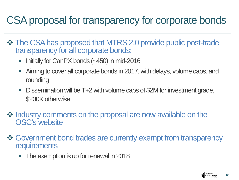### CSA proposal for transparency for corporate bonds

- $\div$  **The CSA has proposed that MTRS 2.0 provide public post-trade** transparency for all corporate bonds:
	- Initially for CanPX bonds  $(-450)$  in mid-2016
	- Aiming to cover all corporate bonds in 2017, with delays, volume caps, and rounding
	- Dissemination will be T+2 with volume caps of \$2M for investment grade, \$200K otherwise
- $\triangle$  **Industry comments on the proposal are now available on the** OSC's website
- $\triangle$  **Government bond trades are currently exempt from transparency requirements** 
	- The exemption is up for renewal in 2018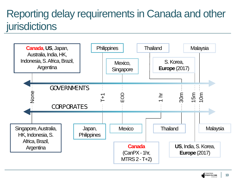## Reporting delay requirements in Canada and other **jurisdictions**